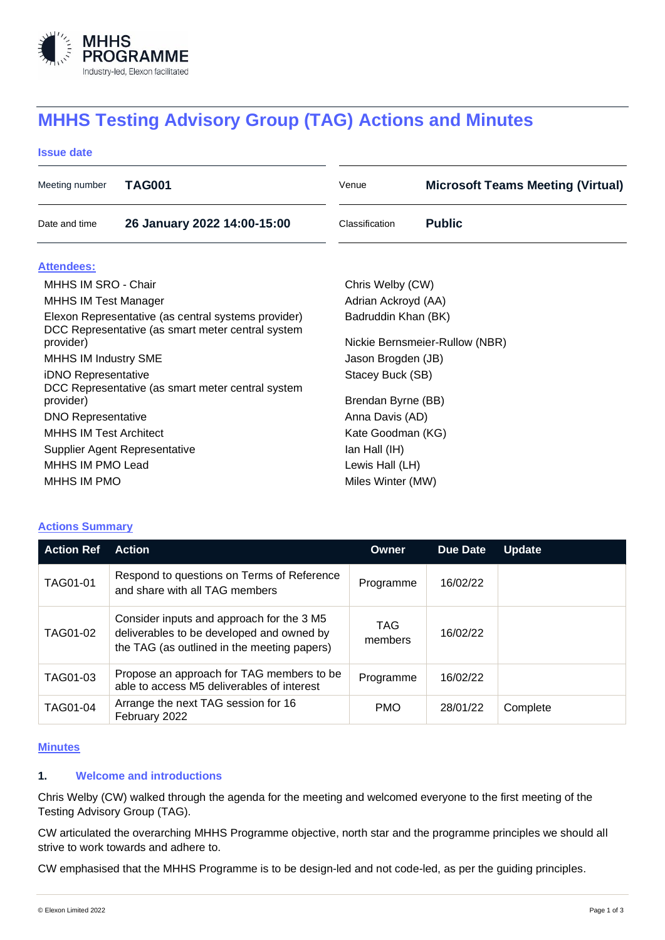

# **MHHS Testing Advisory Group (TAG) Actions and Minutes**

#### **Issue date**

| Meeting number                                                                                           | TAG001                      | Venue                          | <b>Microsoft Teams Meeting (Virtual)</b> |  |  |
|----------------------------------------------------------------------------------------------------------|-----------------------------|--------------------------------|------------------------------------------|--|--|
| Date and time                                                                                            | 26 January 2022 14:00-15:00 | Classification                 | <b>Public</b>                            |  |  |
| Attendees:                                                                                               |                             |                                |                                          |  |  |
| MHHS IM SRO - Chair                                                                                      |                             | Chris Welby (CW)               |                                          |  |  |
| <b>MHHS IM Test Manager</b>                                                                              |                             | Adrian Ackroyd (AA)            |                                          |  |  |
| Elexon Representative (as central systems provider)<br>DCC Representative (as smart meter central system |                             | Badruddin Khan (BK)            |                                          |  |  |
| provider)                                                                                                |                             | Nickie Bernsmeier-Rullow (NBR) |                                          |  |  |
| <b>MHHS IM Industry SME</b>                                                                              |                             | Jason Brogden (JB)             |                                          |  |  |
| iDNO Representative                                                                                      |                             | Stacey Buck (SB)               |                                          |  |  |
| DCC Representative (as smart meter central system<br>provider)                                           |                             | Brendan Byrne (BB)             |                                          |  |  |
| <b>DNO Representative</b>                                                                                |                             | Anna Davis (AD)                |                                          |  |  |
| <b>MHHS IM Test Architect</b>                                                                            |                             | Kate Goodman (KG)              |                                          |  |  |
| Supplier Agent Representative                                                                            |                             | lan Hall (IH)                  |                                          |  |  |
| MHHS IM PMO Lead                                                                                         |                             |                                | Lewis Hall (LH)                          |  |  |
| MHHS IM PMO                                                                                              |                             |                                | Miles Winter (MW)                        |  |  |

# **Actions Summary**

| <b>Action Ref</b> | <b>Action</b>                                                                                                                         | Owner           | Due Date | <b>Update</b> |
|-------------------|---------------------------------------------------------------------------------------------------------------------------------------|-----------------|----------|---------------|
| TAG01-01          | Respond to questions on Terms of Reference<br>and share with all TAG members                                                          | Programme       | 16/02/22 |               |
| TAG01-02          | Consider inputs and approach for the 3 M5<br>deliverables to be developed and owned by<br>the TAG (as outlined in the meeting papers) | TAG.<br>members | 16/02/22 |               |
| TAG01-03          | Propose an approach for TAG members to be<br>able to access M5 deliverables of interest                                               | Programme       | 16/02/22 |               |
| <b>TAG01-04</b>   | Arrange the next TAG session for 16<br>February 2022                                                                                  | <b>PMO</b>      | 28/01/22 | Complete      |

#### **Minutes**

# **1. Welcome and introductions**

Chris Welby (CW) walked through the agenda for the meeting and welcomed everyone to the first meeting of the Testing Advisory Group (TAG).

CW articulated the overarching MHHS Programme objective, north star and the programme principles we should all strive to work towards and adhere to.

CW emphasised that the MHHS Programme is to be design-led and not code-led, as per the guiding principles.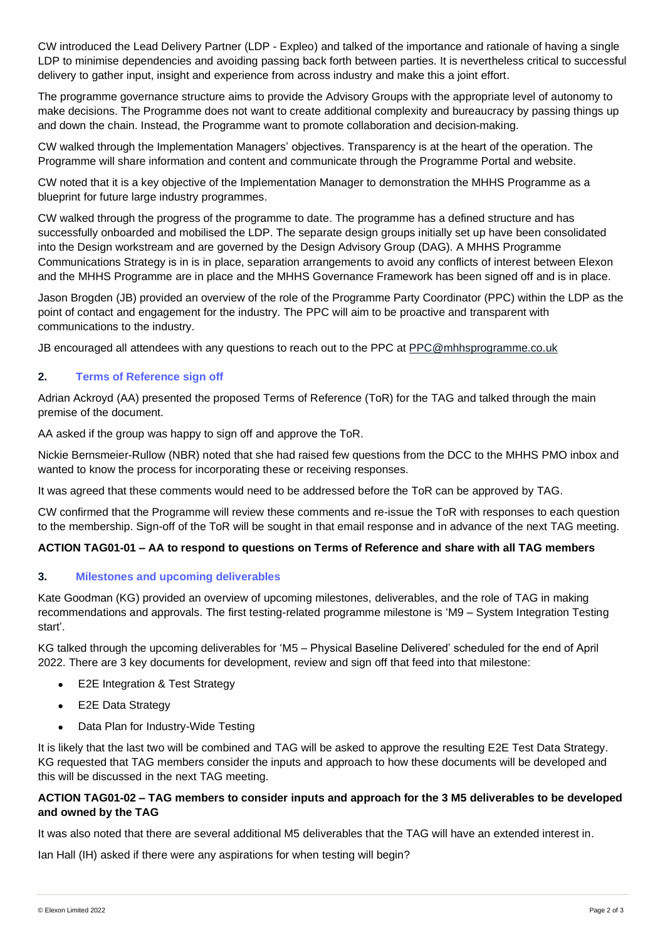CW introduced the Lead Delivery Partner (LDP - Expleo) and talked of the importance and rationale of having a single LDP to minimise dependencies and avoiding passing back forth between parties. It is nevertheless critical to successful delivery to gather input, insight and experience from across industry and make this a joint effort.

The programme governance structure aims to provide the Advisory Groups with the appropriate level of autonomy to make decisions. The Programme does not want to create additional complexity and bureaucracy by passing things up and down the chain. Instead, the Programme want to promote collaboration and decision-making.

CW walked through the Implementation Managers' objectives. Transparency is at the heart of the operation. The Programme will share information and content and communicate through the Programme Portal and website.

CW noted that it is a key objective of the Implementation Manager to demonstration the MHHS Programme as a blueprint for future large industry programmes.

CW walked through the progress of the programme to date. The programme has a defined structure and has successfully onboarded and mobilised the LDP. The separate design groups initially set up have been consolidated into the Design workstream and are governed by the Design Advisory Group (DAG). A MHHS Programme Communications Strategy is in is in place, separation arrangements to avoid any conflicts of interest between Elexon and the MHHS Programme are in place and the MHHS Governance Framework has been signed off and is in place.

Jason Brogden (JB) provided an overview of the role of the Programme Party Coordinator (PPC) within the LDP as the point of contact and engagement for the industry. The PPC will aim to be proactive and transparent with communications to the industry.

JB encouraged all attendees with any questions to reach out to the PPC at [PPC@mhhsprogramme.co.uk](mailto:PPC@mhhsprogramme.co.uk)

## **2. Terms of Reference sign off**

Adrian Ackroyd (AA) presented the proposed Terms of Reference (ToR) for the TAG and talked through the main premise of the document.

AA asked if the group was happy to sign off and approve the ToR.

Nickie Bernsmeier-Rullow (NBR) noted that she had raised few questions from the DCC to the MHHS PMO inbox and wanted to know the process for incorporating these or receiving responses.

It was agreed that these comments would need to be addressed before the ToR can be approved by TAG.

CW confirmed that the Programme will review these comments and re-issue the ToR with responses to each question to the membership. Sign-off of the ToR will be sought in that email response and in advance of the next TAG meeting.

## **ACTION TAG01-01 – AA to respond to questions on Terms of Reference and share with all TAG members**

## **3. Milestones and upcoming deliverables**

Kate Goodman (KG) provided an overview of upcoming milestones, deliverables, and the role of TAG in making recommendations and approvals. The first testing-related programme milestone is 'M9 – System Integration Testing start'.

KG talked through the upcoming deliverables for 'M5 – Physical Baseline Delivered' scheduled for the end of April 2022. There are 3 key documents for development, review and sign off that feed into that milestone:

- E2E Integration & Test Strategy
- E2E Data Strategy
- Data Plan for Industry-Wide Testing

It is likely that the last two will be combined and TAG will be asked to approve the resulting E2E Test Data Strategy. KG requested that TAG members consider the inputs and approach to how these documents will be developed and this will be discussed in the next TAG meeting.

## **ACTION TAG01-02 – TAG members to consider inputs and approach for the 3 M5 deliverables to be developed and owned by the TAG**

It was also noted that there are several additional M5 deliverables that the TAG will have an extended interest in.

Ian Hall (IH) asked if there were any aspirations for when testing will begin?